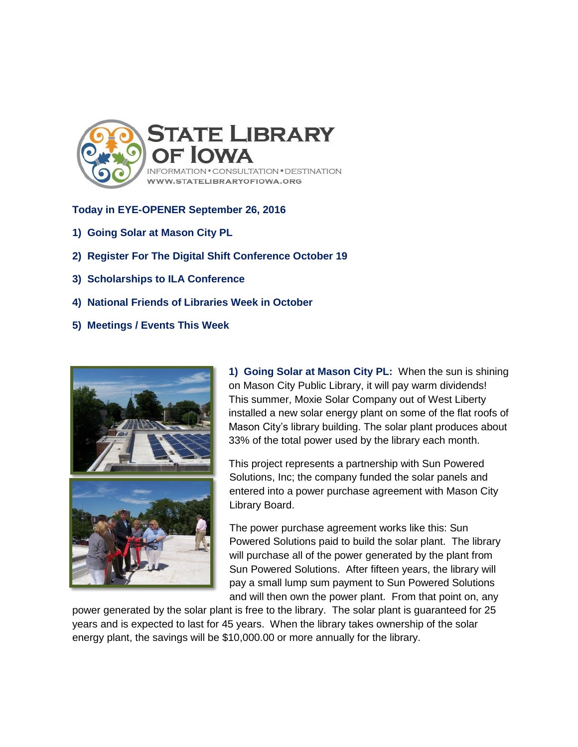

## **Today in EYE-OPENER September 26, 2016**

- **1) Going Solar at Mason City PL**
- **2) Register For The Digital Shift Conference October 19**
- **3) Scholarships to ILA Conference**
- **4) National Friends of Libraries Week in October**
- **5) Meetings / Events This Week**



**1) Going Solar at Mason City PL:** When the sun is shining on Mason City Public Library, it will pay warm dividends! This summer, Moxie Solar Company out of West Liberty installed a new solar energy plant on some of the flat roofs of Mason City's library building. The solar plant produces about 33% of the total power used by the library each month.

This project represents a partnership with Sun Powered Solutions, Inc; the company funded the solar panels and entered into a power purchase agreement with Mason City Library Board.

The power purchase agreement works like this: Sun Powered Solutions paid to build the solar plant. The library will purchase all of the power generated by the plant from Sun Powered Solutions. After fifteen years, the library will pay a small lump sum payment to Sun Powered Solutions and will then own the power plant. From that point on, any

power generated by the solar plant is free to the library. The solar plant is guaranteed for 25 years and is expected to last for 45 years. When the library takes ownership of the solar energy plant, the savings will be \$10,000.00 or more annually for the library.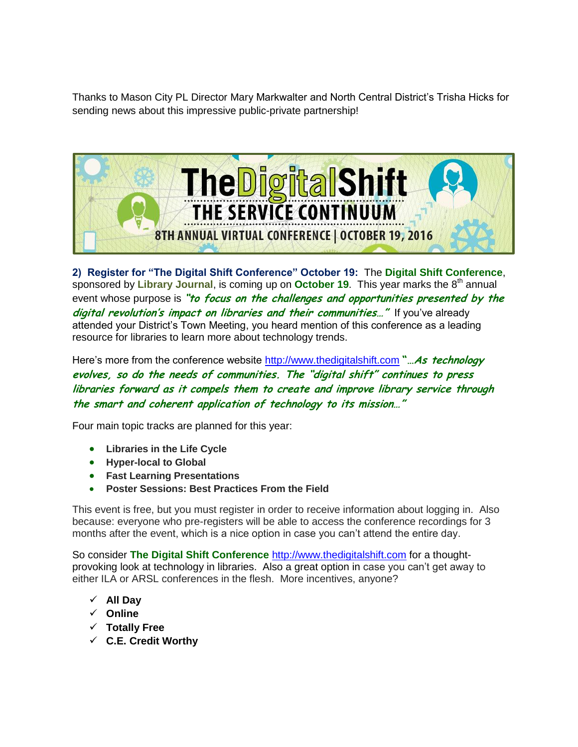Thanks to Mason City PL Director Mary Markwalter and North Central District's Trisha Hicks for sending news about this impressive public-private partnership!



**2) Register for "The Digital Shift Conference" October 19:** The **Digital Shift Conference**, sponsored by Library Journal, is coming up on October 19. This year marks the 8<sup>th</sup> annual event whose purpose is **"to focus on the challenges and opportunities presented by the**  digital revolution's impact on libraries and their communities..." If you've already attended your District's Town Meeting, you heard mention of this conference as a leading resource for libraries to learn more about technology trends.

Here's more from the conference website [http://www.thedigitalshift.com](http://www.thedigitalshift.com/) "...**As technology evolves, so do the needs of communities. The "digital shift" continues to press libraries forward as it compels them to create and improve library service through the smart and coherent application of technology to its mission…"**

Four main topic tracks are planned for this year:

- **Libraries in the Life Cycle**
- **Hyper-local to Global**
- **Fast Learning Presentations**
- **Poster Sessions: Best Practices From the Field**

This event is free, but you must register in order to receive information about logging in. Also because: everyone who pre-registers will be able to access the conference recordings for 3 months after the event, which is a nice option in case you can't attend the entire day.

So consider **The Digital Shift Conference** [http://www.thedigitalshift.com](http://www.thedigitalshift.com/) for a thoughtprovoking look at technology in libraries. Also a great option in case you can't get away to either ILA or ARSL conferences in the flesh. More incentives, anyone?

- **All Day**
- **Online**
- **Totally Free**
- **C.E. Credit Worthy**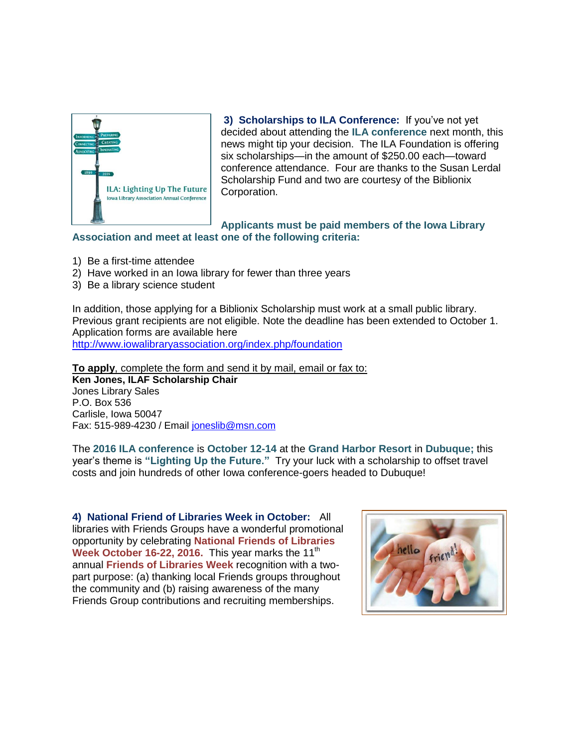

**3) Scholarships to ILA Conference:** If you've not yet decided about attending the **ILA conference** next month, this news might tip your decision. The ILA Foundation is offering six scholarships—in the amount of \$250.00 each—toward conference attendance. Four are thanks to the Susan Lerdal Scholarship Fund and two are courtesy of the Biblionix Corporation.

**Applicants must be paid members of the Iowa Library Association and meet at least one of the following criteria:**

- 1) Be a first-time attendee
- 2) Have worked in an Iowa library for fewer than three years
- 3) Be a library science student

In addition, those applying for a Biblionix Scholarship must work at a small public library. Previous grant recipients are not eligible. Note the deadline has been extended to October 1. Application forms are available here <http://www.iowalibraryassociation.org/index.php/foundation>

**To apply**, complete the form and send it by mail, email or fax to:

**Ken Jones, ILAF Scholarship Chair** Jones Library Sales P.O. Box 536 Carlisle, Iowa 50047 Fax: 515-989-4230 / Email [joneslib@msn.com](mailto:joneslib@msn.com)

The **2016 ILA conference** is **October 12-14** at the **Grand Harbor Resort** in **Dubuque;** this year's theme is **"Lighting Up the Future."** Try your luck with a scholarship to offset travel costs and join hundreds of other Iowa conference-goers headed to Dubuque!

**4) National Friend of Libraries Week in October:** All libraries with Friends Groups have a wonderful promotional opportunity by celebrating **National Friends of Libraries Week October 16-22, 2016.** This year marks the 11<sup>th</sup> annual **Friends of Libraries Week** recognition with a twopart purpose: (a) thanking local Friends groups throughout the community and (b) raising awareness of the many Friends Group contributions and recruiting memberships.

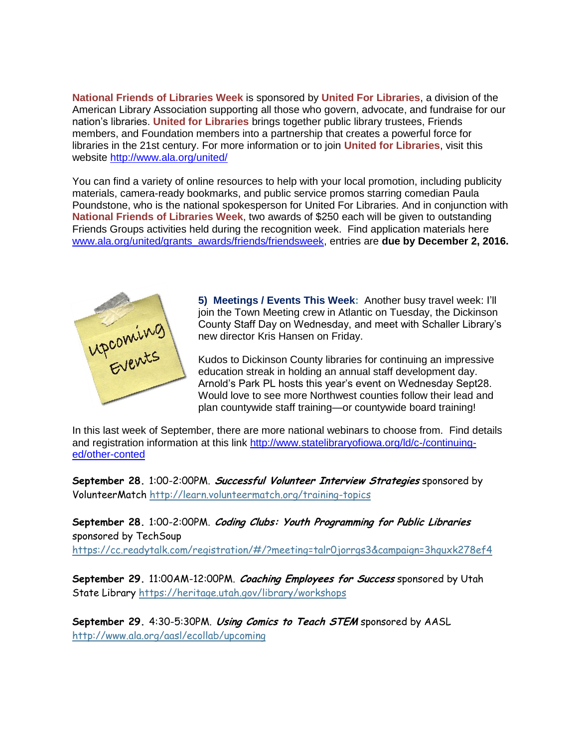**National Friends of Libraries Week** is sponsored by **United For Libraries**, a division of the American Library Association supporting all those who govern, advocate, and fundraise for our nation's libraries. **United for Libraries** brings together public library trustees, Friends members, and Foundation members into a partnership that creates a powerful force for libraries in the 21st century. For more information or to join **United for Libraries**, visit this website<http://www.ala.org/united/>

You can find a variety of online resources to help with your local promotion, including publicity materials, camera-ready bookmarks, and public service promos starring comedian Paula Poundstone, who is the national spokesperson for United For Libraries. And in conjunction with **National Friends of Libraries Week**, two awards of \$250 each will be given to outstanding Friends Groups activities held during the recognition week. Find application materials here [www.ala.org/united/grants\\_awards/friends/friendsweek,](http://www.ala.org/united/grants_awards/friends/friendsweek) entries are **due by December 2, 2016.**



**5) Meetings / Events This Week:** Another busy travel week: I'll join the Town Meeting crew in Atlantic on Tuesday, the Dickinson County Staff Day on Wednesday, and meet with Schaller Library's new director Kris Hansen on Friday.

Kudos to Dickinson County libraries for continuing an impressive education streak in holding an annual staff development day. Arnold's Park PL hosts this year's event on Wednesday Sept28. Would love to see more Northwest counties follow their lead and plan countywide staff training—or countywide board training!

In this last week of September, there are more national webinars to choose from. Find details and registration information at this link [http://www.statelibraryofiowa.org/ld/c-/continuing](http://www.statelibraryofiowa.org/ld/c-/continuing-ed/other-conted)[ed/other-conted](http://www.statelibraryofiowa.org/ld/c-/continuing-ed/other-conted)

**September 28.** 1:00-2:00PM. **Successful Volunteer Interview Strategies** sponsored by VolunteerMatch <http://learn.volunteermatch.org/training-topics>

**September 28.** 1:00-2:00PM. **Coding Clubs: Youth Programming for Public Libraries** sponsored by TechSoup

<https://cc.readytalk.com/registration/#/?meeting=talr0jorrgs3&campaign=3hquxk278ef4>

**September 29.** 11:00AM-12:00PM. **Coaching Employees for Success** sponsored by Utah State Library <https://heritage.utah.gov/library/workshops>

**September 29.** 4:30-5:30PM. **Using Comics to Teach STEM** sponsored by AASL <http://www.ala.org/aasl/ecollab/upcoming>